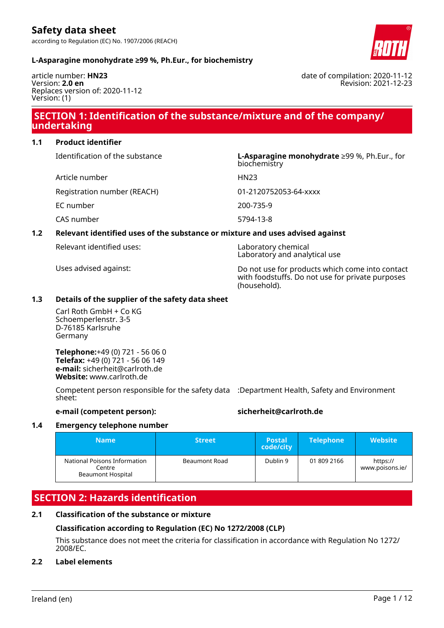according to Regulation (EC) No. 1907/2006 (REACH)



#### **L-Asparagine monohydrate ≥99 %, Ph.Eur., for biochemistry**

article number: **HN23** Version: **2.0 en** Replaces version of: 2020-11-12 Version: (1)

date of compilation: 2020-11-12 Revision: 2021-12-23

### **SECTION 1: Identification of the substance/mixture and of the company/ undertaking**

#### **1.1 Product identifier**

Identification of the substance **L-Asparagine monohydrate** ≥99 %, Ph.Eur., for

| Article number              | <b>HN23</b> |
|-----------------------------|-------------|
| Registration number (REACH) | $01 - 21$   |
| EC number                   | 200-7       |
| CAS number                  | 5794-       |

#### **1.2 Relevant identified uses of the substance or mixture and uses advised against**

Relevant identified uses: Laboratory chemical

Laboratory and analytical use

biochemistry

200-735-9 5794-13-8

01-2120752053-64-xxxx

Uses advised against: Do not use for products which come into contact with foodstuffs. Do not use for private purposes (household).

#### **1.3 Details of the supplier of the safety data sheet**

Carl Roth GmbH + Co KG Schoemperlenstr. 3-5 D-76185 Karlsruhe Germany

**Telephone:**+49 (0) 721 - 56 06 0 **Telefax:** +49 (0) 721 - 56 06 149 **e-mail:** sicherheit@carlroth.de **Website:** www.carlroth.de

Competent person responsible for the safety data :Department Health, Safety and Environment sheet:

#### **e-mail (competent person): sicherheit@carlroth.de**

#### **1.4 Emergency telephone number**

| <b>Name</b>                                                 | <b>Street</b> | <b>Postal</b><br>code/city | <b>Telephone</b> | <b>Website</b>              |
|-------------------------------------------------------------|---------------|----------------------------|------------------|-----------------------------|
| National Poisons Information<br>Centre<br>Beaumont Hospital | Beaumont Road | Dublin 9                   | 01 809 2166      | https://<br>www.poisons.ie/ |

### **SECTION 2: Hazards identification**

#### **2.1 Classification of the substance or mixture**

#### **Classification according to Regulation (EC) No 1272/2008 (CLP)**

This substance does not meet the criteria for classification in accordance with Regulation No 1272/ 2008/EC.

#### **2.2 Label elements**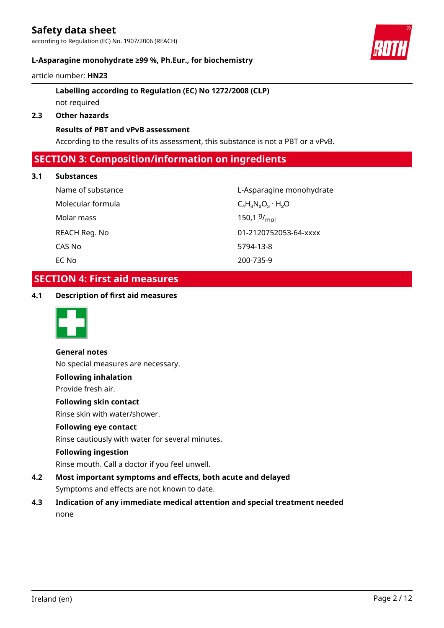according to Regulation (EC) No. 1907/2006 (REACH)



#### **L-Asparagine monohydrate ≥99 %, Ph.Eur., for biochemistry**

#### article number: **HN23**

### **Labelling according to Regulation (EC) No 1272/2008 (CLP)** not required

# **2.3 Other hazards**

### **Results of PBT and vPvB assessment**

According to the results of its assessment, this substance is not a PBT or a vPvB.

### **SECTION 3: Composition/information on ingredients**

#### **3.1 Substances**

| Name of substance | L-Asparagine monohydrate  |
|-------------------|---------------------------|
| Molecular formula | $C_4H_8N_2O_3 \cdot H_2O$ |
| Molar mass        | 150,1 $9/_{\text{mol}}$   |
| REACH Reg. No     | 01-2120752053-64-xxxx     |
| CAS No            | 5794-13-8                 |
| EC No             | 200-735-9                 |

### **SECTION 4: First aid measures**

#### **4.1 Description of first aid measures**



#### **General notes**

No special measures are necessary.

**Following inhalation**

Provide fresh air.

#### **Following skin contact**

Rinse skin with water/shower.

#### **Following eye contact**

Rinse cautiously with water for several minutes.

#### **Following ingestion**

Rinse mouth. Call a doctor if you feel unwell.

- **4.2 Most important symptoms and effects, both acute and delayed** Symptoms and effects are not known to date.
- **4.3 Indication of any immediate medical attention and special treatment needed** none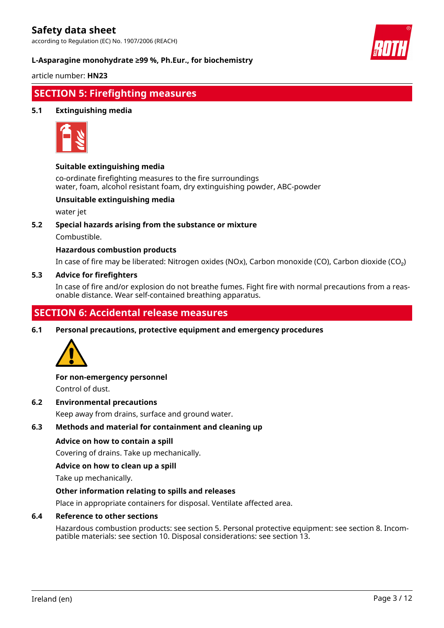according to Regulation (EC) No. 1907/2006 (REACH)



#### **L-Asparagine monohydrate ≥99 %, Ph.Eur., for biochemistry**

article number: **HN23**

### **SECTION 5: Firefighting measures**

#### **5.1 Extinguishing media**



#### **Suitable extinguishing media**

co-ordinate firefighting measures to the fire surroundings water, foam, alcohol resistant foam, dry extinguishing powder, ABC-powder

#### **Unsuitable extinguishing media**

water jet

#### **5.2 Special hazards arising from the substance or mixture**

Combustible.

#### **Hazardous combustion products**

In case of fire may be liberated: Nitrogen oxides (NOx), Carbon monoxide (CO), Carbon dioxide (CO₂)

#### **5.3 Advice for firefighters**

In case of fire and/or explosion do not breathe fumes. Fight fire with normal precautions from a reasonable distance. Wear self-contained breathing apparatus.

### **SECTION 6: Accidental release measures**

**6.1 Personal precautions, protective equipment and emergency procedures**



#### **For non-emergency personnel**

Control of dust.

#### **6.2 Environmental precautions**

Keep away from drains, surface and ground water.

#### **6.3 Methods and material for containment and cleaning up**

#### **Advice on how to contain a spill**

Covering of drains. Take up mechanically.

#### **Advice on how to clean up a spill**

Take up mechanically.

#### **Other information relating to spills and releases**

Place in appropriate containers for disposal. Ventilate affected area.

#### **6.4 Reference to other sections**

Hazardous combustion products: see section 5. Personal protective equipment: see section 8. Incompatible materials: see section 10. Disposal considerations: see section 13.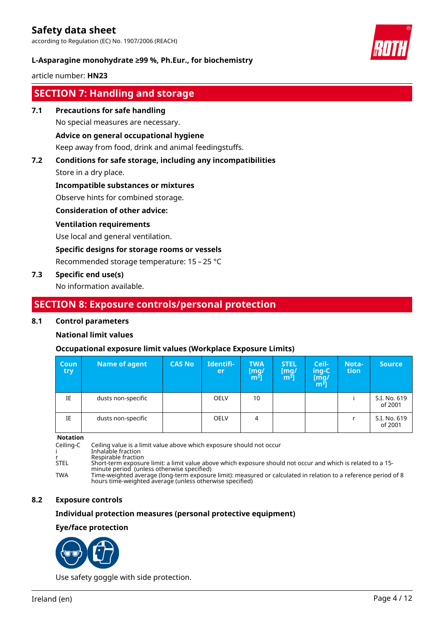according to Regulation (EC) No. 1907/2006 (REACH)



#### **L-Asparagine monohydrate ≥99 %, Ph.Eur., for biochemistry**

article number: **HN23**

## **SECTION 7: Handling and storage**

#### **7.1 Precautions for safe handling**

No special measures are necessary.

#### **Advice on general occupational hygiene**

Keep away from food, drink and animal feedingstuffs.

# **7.2 Conditions for safe storage, including any incompatibilities**

Store in a dry place.

#### **Incompatible substances or mixtures**

Observe hints for combined storage.

#### **Consideration of other advice:**

#### **Ventilation requirements**

Use local and general ventilation.

#### **Specific designs for storage rooms or vessels**

Recommended storage temperature: 15 – 25 °C

#### **7.3 Specific end use(s)**

No information available.

### **SECTION 8: Exposure controls/personal protection**

#### **8.1 Control parameters**

#### **National limit values**

#### **Occupational exposure limit values (Workplace Exposure Limits)**

| <b>Coun</b><br>try | <b>Name of agent</b> | <b>CAS No</b> | Identifi-<br>ler. | <b>TWA</b><br>$\begin{bmatrix} \mathsf{mg}/\ \mathsf{m}^3 \end{bmatrix}$ | <b>STEL</b><br>$\mathsf{[mq]}$<br>m <sup>3</sup> | Ceil-<br>ing-C<br>[mg/<br>m <sup>3</sup> ] | Nota-<br><b>tion</b> | <b>Source</b>           |
|--------------------|----------------------|---------------|-------------------|--------------------------------------------------------------------------|--------------------------------------------------|--------------------------------------------|----------------------|-------------------------|
| IE                 | dusts non-specific   |               | <b>OELV</b>       | 10                                                                       |                                                  |                                            |                      | S.I. No. 619<br>of 2001 |
| IE                 | dusts non-specific   |               | <b>OELV</b>       | 4                                                                        |                                                  |                                            |                      | S.I. No. 619<br>of 2001 |

**Notation**

Ceiling-C Ceiling value is a limit value above which exposure should not occur

i Inhalable fraction

r Respirable fraction<br>STEL Short-term exposure Resphasic maction<br>Short-term exposure limit: a limit value above which exposure should not occur and which is related to a 15minute period (unless otherwise specified)

TWA Time-weighted average (long-term exposure limit): measured or calculated in relation to a reference period of 8 hours time-weighted average (unless otherwise specified)

#### **8.2 Exposure controls**

#### **Individual protection measures (personal protective equipment)**

#### **Eye/face protection**



Use safety goggle with side protection.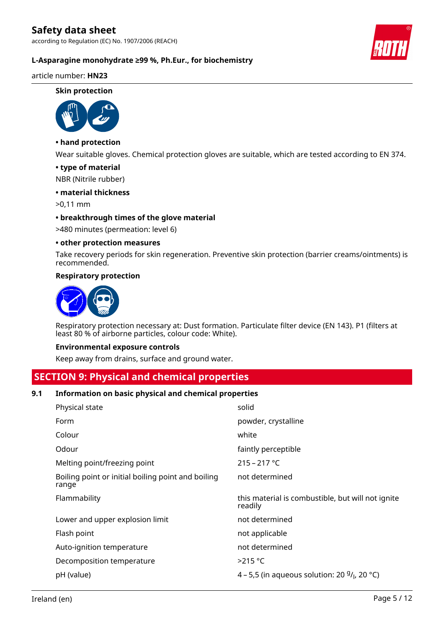according to Regulation (EC) No. 1907/2006 (REACH)



#### **L-Asparagine monohydrate ≥99 %, Ph.Eur., for biochemistry**

#### article number: **HN23**

#### **Skin protection**



#### **• hand protection**

Wear suitable gloves. Chemical protection gloves are suitable, which are tested according to EN 374.

#### **• type of material**

NBR (Nitrile rubber)

#### **• material thickness**

>0,11 mm

#### **• breakthrough times of the glove material**

>480 minutes (permeation: level 6)

#### **• other protection measures**

Take recovery periods for skin regeneration. Preventive skin protection (barrier creams/ointments) is recommended.

#### **Respiratory protection**



Respiratory protection necessary at: Dust formation. Particulate filter device (EN 143). P1 (filters at least 80 % of airborne particles, colour code: White).

#### **Environmental exposure controls**

Keep away from drains, surface and ground water.

### **SECTION 9: Physical and chemical properties**

#### **9.1 Information on basic physical and chemical properties**

| Physical state                                              | solid                                                        |
|-------------------------------------------------------------|--------------------------------------------------------------|
| Form                                                        | powder, crystalline                                          |
| Colour                                                      | white                                                        |
| Odour                                                       | faintly perceptible                                          |
| Melting point/freezing point                                | $215 - 217$ °C                                               |
| Boiling point or initial boiling point and boiling<br>range | not determined                                               |
| Flammability                                                | this material is combustible, but will not ignite<br>readily |
| Lower and upper explosion limit                             | not determined                                               |
| Flash point                                                 | not applicable                                               |
| Auto-ignition temperature                                   | not determined                                               |
|                                                             |                                                              |
| Decomposition temperature                                   | $>215$ °C                                                    |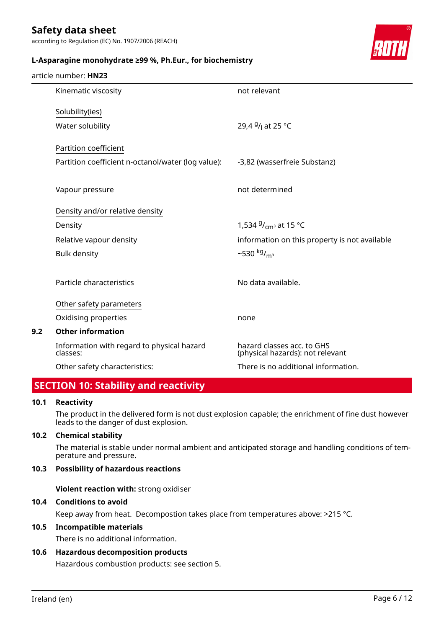according to Regulation (EC) No. 1907/2006 (REACH)



#### **L-Asparagine monohydrate ≥99 %, Ph.Eur., for biochemistry**

| article number: HN23 |  |
|----------------------|--|
|                      |  |

|     | Kinematic viscosity                                    | not relevant                                                   |
|-----|--------------------------------------------------------|----------------------------------------------------------------|
|     | Solubility(ies)                                        |                                                                |
|     | Water solubility                                       | 29,4 <sup>g</sup> / <sub>l</sub> at 25 °C                      |
|     | Partition coefficient                                  |                                                                |
|     | Partition coefficient n-octanol/water (log value):     | -3,82 (wasserfreie Substanz)                                   |
|     | Vapour pressure                                        | not determined                                                 |
|     | Density and/or relative density                        |                                                                |
|     | Density                                                | 1,534 $9/cm3$ at 15 °C                                         |
|     | Relative vapour density                                | information on this property is not available                  |
|     | <b>Bulk density</b>                                    | $~10^{-15}$ kg/ <sub>m<sup>3</sup></sub>                       |
|     | Particle characteristics                               | No data available.                                             |
|     | Other safety parameters                                |                                                                |
|     | Oxidising properties                                   | none                                                           |
| 9.2 | <b>Other information</b>                               |                                                                |
|     | Information with regard to physical hazard<br>classes: | hazard classes acc. to GHS<br>(physical hazards): not relevant |
|     | Other safety characteristics:                          | There is no additional information.                            |

## **SECTION 10: Stability and reactivity**

#### **10.1 Reactivity**

The product in the delivered form is not dust explosion capable; the enrichment of fine dust however leads to the danger of dust explosion.

### **10.2 Chemical stability**

The material is stable under normal ambient and anticipated storage and handling conditions of temperature and pressure.

### **10.3 Possibility of hazardous reactions**

**Violent reaction with:** strong oxidiser

#### **10.4 Conditions to avoid**

Keep away from heat. Decompostion takes place from temperatures above: >215 °C.

#### **10.5 Incompatible materials**

There is no additional information.

#### **10.6 Hazardous decomposition products**

Hazardous combustion products: see section 5.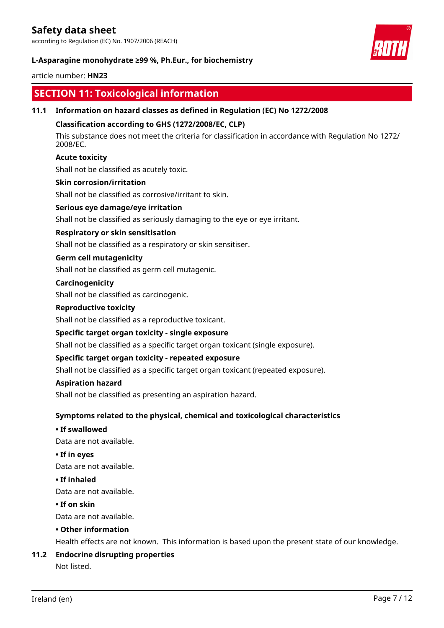according to Regulation (EC) No. 1907/2006 (REACH)



#### **L-Asparagine monohydrate ≥99 %, Ph.Eur., for biochemistry**

#### article number: **HN23**

## **SECTION 11: Toxicological information**

#### **11.1 Information on hazard classes as defined in Regulation (EC) No 1272/2008**

#### **Classification according to GHS (1272/2008/EC, CLP)**

This substance does not meet the criteria for classification in accordance with Regulation No 1272/ 2008/EC.

#### **Acute toxicity**

Shall not be classified as acutely toxic.

#### **Skin corrosion/irritation**

Shall not be classified as corrosive/irritant to skin.

#### **Serious eye damage/eye irritation**

Shall not be classified as seriously damaging to the eye or eye irritant.

#### **Respiratory or skin sensitisation**

Shall not be classified as a respiratory or skin sensitiser.

#### **Germ cell mutagenicity**

Shall not be classified as germ cell mutagenic.

#### **Carcinogenicity**

Shall not be classified as carcinogenic.

#### **Reproductive toxicity**

Shall not be classified as a reproductive toxicant.

#### **Specific target organ toxicity - single exposure**

Shall not be classified as a specific target organ toxicant (single exposure).

#### **Specific target organ toxicity - repeated exposure**

Shall not be classified as a specific target organ toxicant (repeated exposure).

#### **Aspiration hazard**

Shall not be classified as presenting an aspiration hazard.

#### **Symptoms related to the physical, chemical and toxicological characteristics**

#### **• If swallowed**

Data are not available.

#### **• If in eyes**

Data are not available.

#### **• If inhaled**

Data are not available.

#### **• If on skin**

Data are not available.

#### **• Other information**

Health effects are not known. This information is based upon the present state of our knowledge.

#### **11.2 Endocrine disrupting properties**

Not listed.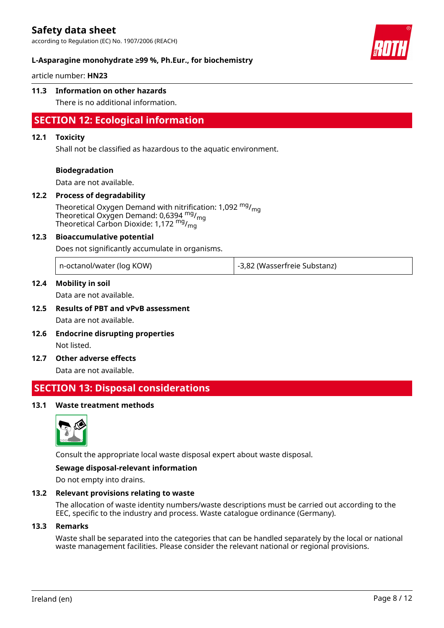according to Regulation (EC) No. 1907/2006 (REACH)



#### **L-Asparagine monohydrate ≥99 %, Ph.Eur., for biochemistry**

article number: **HN23**

#### **11.3 Information on other hazards**

There is no additional information.

### **SECTION 12: Ecological information**

#### **12.1 Toxicity**

Shall not be classified as hazardous to the aquatic environment.

#### **Biodegradation**

Data are not available.

#### **12.2 Process of degradability**

Theoretical Oxygen Demand with nitrification: 1,092  $mg/m<sub>q</sub>$ Theoretical Oxygen Demand: 0,6394 <sup>mg</sup>/<sub>mg</sub> Theoretical Carbon Dioxide:  $1,172 \text{ mg/mg}$ 

#### **12.3 Bioaccumulative potential**

Does not significantly accumulate in organisms.

| n-octanol/water (log KOW) | l -3,82 (Wasserfreie Substanz) |
|---------------------------|--------------------------------|
|---------------------------|--------------------------------|

#### **12.4 Mobility in soil**

Data are not available.

### **12.5 Results of PBT and vPvB assessment**

Data are not available.

- **12.6 Endocrine disrupting properties** Not listed.
- **12.7 Other adverse effects**

Data are not available.

### **SECTION 13: Disposal considerations**

#### **13.1 Waste treatment methods**



Consult the appropriate local waste disposal expert about waste disposal.

#### **Sewage disposal-relevant information**

Do not empty into drains.

#### **13.2 Relevant provisions relating to waste**

The allocation of waste identity numbers/waste descriptions must be carried out according to the EEC, specific to the industry and process. Waste catalogue ordinance (Germany).

#### **13.3 Remarks**

Waste shall be separated into the categories that can be handled separately by the local or national waste management facilities. Please consider the relevant national or regional provisions.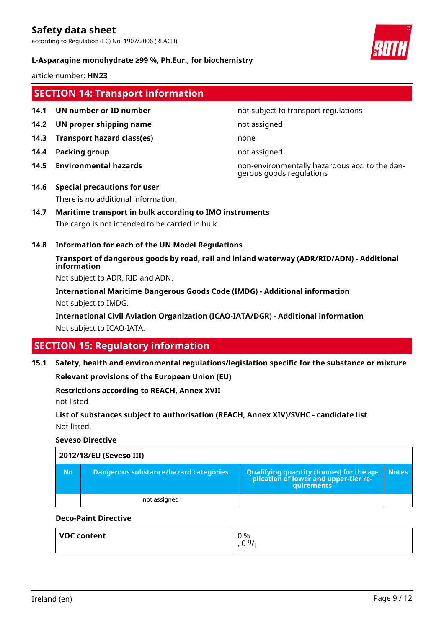according to Regulation (EC) No. 1907/2006 (REACH)



#### **L-Asparagine monohydrate ≥99 %, Ph.Eur., for biochemistry**

article number: **HN23**

### **SECTION 14: Transport information**

- 
- **14.2 UN proper shipping name** not assigned
- **14.3 Transport hazard class(es)** none
- **14.4 Packing group not assigned**
- 

#### **14.1 UN number or ID number not subject to transport regulations**

**14.5 Environmental hazards** non-environmentally hazardous acc. to the dangerous goods regulations

# **14.6 Special precautions for user**

There is no additional information.

#### **14.7 Maritime transport in bulk according to IMO instruments**

The cargo is not intended to be carried in bulk.

#### **14.8 Information for each of the UN Model Regulations**

**Transport of dangerous goods by road, rail and inland waterway (ADR/RID/ADN) - Additional information**

Not subject to ADR, RID and ADN.

**International Maritime Dangerous Goods Code (IMDG) - Additional information** Not subject to IMDG.

**International Civil Aviation Organization (ICAO-IATA/DGR) - Additional information** Not subject to ICAO-IATA.

## **SECTION 15: Regulatory information**

**15.1 Safety, health and environmental regulations/legislation specific for the substance or mixture**

**Relevant provisions of the European Union (EU)**

#### **Restrictions according to REACH, Annex XVII**

not listed

**List of substances subject to authorisation (REACH, Annex XIV)/SVHC - candidate list** Not listed.

#### **Seveso Directive**

| 2012/18/EU (Seveso III) |                                       |                                                                                                        |              |  |
|-------------------------|---------------------------------------|--------------------------------------------------------------------------------------------------------|--------------|--|
| <b>No</b>               | Dangerous substance/hazard categories | <b>Qualifying quantity (tonnes) for the ap-</b><br>plication of lower and upper-tier re-<br>quirements | <b>Notes</b> |  |
|                         | not assigned                          |                                                                                                        |              |  |

#### **Deco-Paint Directive**

| VOC content | 0 %<br>0.91<br>ັບ |
|-------------|-------------------|
|             |                   |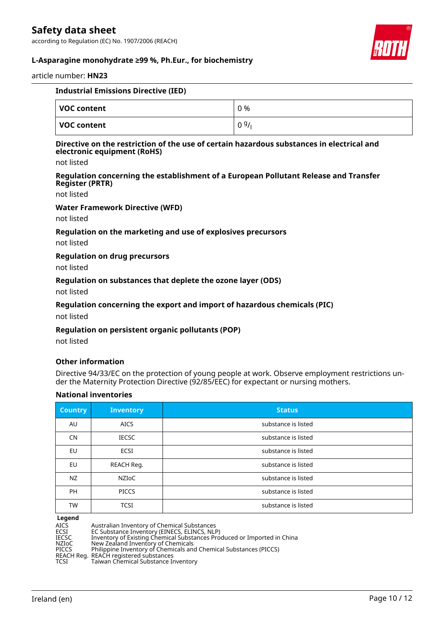according to Regulation (EC) No. 1907/2006 (REACH)



#### **L-Asparagine monohydrate ≥99 %, Ph.Eur., for biochemistry**

article number: **HN23**

| <b>Industrial Emissions Directive (IED)</b> |      |  |
|---------------------------------------------|------|--|
| VOC content                                 | 0 %  |  |
| VOC content                                 | 09/1 |  |

#### **Directive on the restriction of the use of certain hazardous substances in electrical and electronic equipment (RoHS)**

not listed

**Regulation concerning the establishment of a European Pollutant Release and Transfer Register (PRTR)**

not listed

#### **Water Framework Directive (WFD)**

#### not listed

#### **Regulation on the marketing and use of explosives precursors**

not listed

#### **Regulation on drug precursors**

not listed

#### **Regulation on substances that deplete the ozone layer (ODS)**

not listed

#### **Regulation concerning the export and import of hazardous chemicals (PIC)**

not listed

#### **Regulation on persistent organic pollutants (POP)**

not listed

#### **Other information**

Directive 94/33/EC on the protection of young people at work. Observe employment restrictions under the Maternity Protection Directive (92/85/EEC) for expectant or nursing mothers.

#### **National inventories**

| <b>Country</b> | <b>Inventory</b> | <b>Status</b>       |
|----------------|------------------|---------------------|
| AU             | <b>AICS</b>      | substance is listed |
| <b>CN</b>      | <b>IECSC</b>     | substance is listed |
| EU             | <b>ECSI</b>      | substance is listed |
| EU             | REACH Reg.       | substance is listed |
| NZ             | <b>NZIOC</b>     | substance is listed |
| <b>PH</b>      | <b>PICCS</b>     | substance is listed |
| <b>TW</b>      | <b>TCSI</b>      | substance is listed |

**Legend**

AICS Australian Inventory of Chemical Substances<br>ECSI EC Substance Inventory (EINECS, ELINCS, NLP ECSI EC Substance Inventory (EINECS, ELINCS, NLP) IECSC Inventory of Existing Chemical Substances Produced or Imported in China NZIoC New Zealand Inventory of Chemicals PICCS Philippine Inventory of Chemicals and Chemical Substances (PICCS) REACH Reg. REACH registered substances TCSI Taiwan Chemical Substance Inventory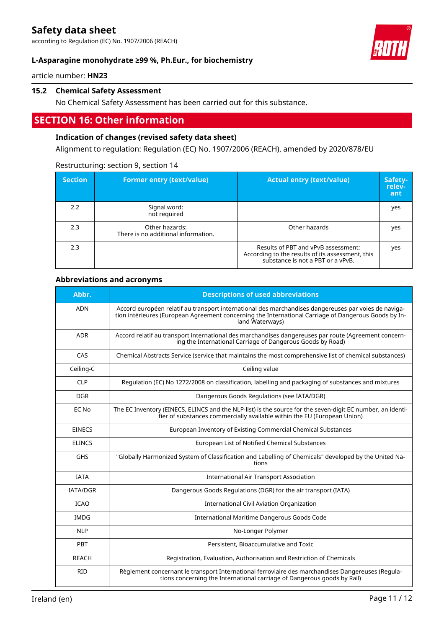according to Regulation (EC) No. 1907/2006 (REACH)



#### **L-Asparagine monohydrate ≥99 %, Ph.Eur., for biochemistry**

article number: **HN23**

#### **15.2 Chemical Safety Assessment**

No Chemical Safety Assessment has been carried out for this substance.

## **SECTION 16: Other information**

#### **Indication of changes (revised safety data sheet)**

Alignment to regulation: Regulation (EC) No. 1907/2006 (REACH), amended by 2020/878/EU

| <b>Section</b> | <b>Former entry (text/value)</b>                      | <b>Actual entry (text/value)</b>                                                                                             | Safety-<br>relev-<br>ant |
|----------------|-------------------------------------------------------|------------------------------------------------------------------------------------------------------------------------------|--------------------------|
| 2.2            | Signal word:<br>not required                          |                                                                                                                              | yes                      |
| 2.3            | Other hazards:<br>There is no additional information. | Other hazards                                                                                                                | yes                      |
| 2.3            |                                                       | Results of PBT and vPvB assessment:<br>According to the results of its assessment, this<br>substance is not a PBT or a vPvB. | yes                      |

#### Restructuring: section 9, section 14

#### **Abbreviations and acronyms**

| Abbr.           | <b>Descriptions of used abbreviations</b>                                                                                                                                                                                       |
|-----------------|---------------------------------------------------------------------------------------------------------------------------------------------------------------------------------------------------------------------------------|
| <b>ADN</b>      | Accord européen relatif au transport international des marchandises dangereuses par voies de naviga-<br>tion intérieures (European Agreement concerning the International Carriage of Dangerous Goods by In-<br>land Waterways) |
| <b>ADR</b>      | Accord relatif au transport international des marchandises dangereuses par route (Agreement concern-<br>ing the International Carriage of Dangerous Goods by Road)                                                              |
| CAS             | Chemical Abstracts Service (service that maintains the most comprehensive list of chemical substances)                                                                                                                          |
| Ceiling-C       | Ceiling value                                                                                                                                                                                                                   |
| <b>CLP</b>      | Regulation (EC) No 1272/2008 on classification, labelling and packaging of substances and mixtures                                                                                                                              |
| <b>DGR</b>      | Dangerous Goods Regulations (see IATA/DGR)                                                                                                                                                                                      |
| EC No           | The EC Inventory (EINECS, ELINCS and the NLP-list) is the source for the seven-digit EC number, an identi-<br>fier of substances commercially available within the EU (European Union)                                          |
| <b>EINECS</b>   | European Inventory of Existing Commercial Chemical Substances                                                                                                                                                                   |
| <b>ELINCS</b>   | European List of Notified Chemical Substances                                                                                                                                                                                   |
| <b>GHS</b>      | "Globally Harmonized System of Classification and Labelling of Chemicals" developed by the United Na-<br>tions                                                                                                                  |
| <b>IATA</b>     | <b>International Air Transport Association</b>                                                                                                                                                                                  |
| <b>IATA/DGR</b> | Dangerous Goods Regulations (DGR) for the air transport (IATA)                                                                                                                                                                  |
| <b>ICAO</b>     | <b>International Civil Aviation Organization</b>                                                                                                                                                                                |
| <b>IMDG</b>     | International Maritime Dangerous Goods Code                                                                                                                                                                                     |
| <b>NLP</b>      | No-Longer Polymer                                                                                                                                                                                                               |
| PBT             | Persistent, Bioaccumulative and Toxic                                                                                                                                                                                           |
| <b>REACH</b>    | Registration, Evaluation, Authorisation and Restriction of Chemicals                                                                                                                                                            |
| <b>RID</b>      | Règlement concernant le transport International ferroviaire des marchandises Dangereuses (Regula-<br>tions concerning the International carriage of Dangerous goods by Rail)                                                    |